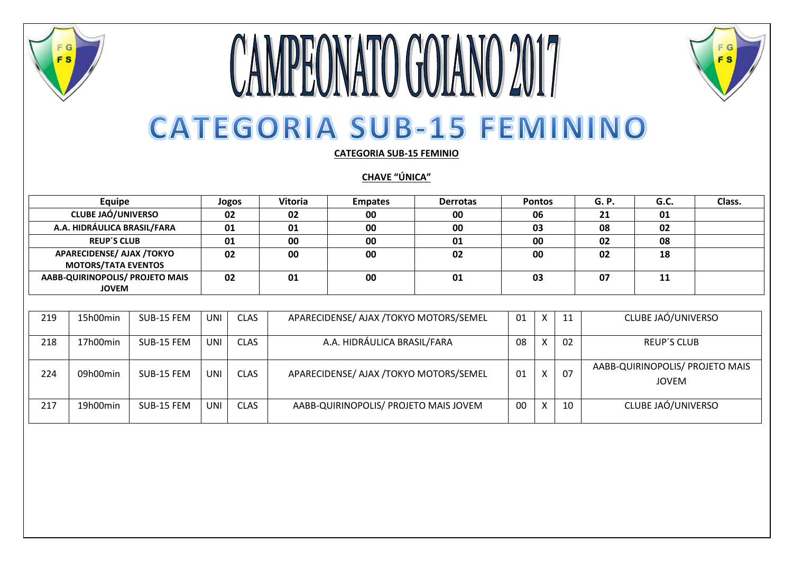

## **CAMPEONATO GOIANO 2017 CATEGORIA SUB-15 FEMININO**

FG

**FS** 

**CATEGORIA SUB-15 FEMINIO**

**CHAVE "ÚNICA"**

| Equipe                                                  | Jogos | <b>Vitoria</b> | <b>Empates</b> | <b>Derrotas</b> | <b>Pontos</b> | G. P. | G.C. | Class. |
|---------------------------------------------------------|-------|----------------|----------------|-----------------|---------------|-------|------|--------|
| <b>CLUBE JAÓ/UNIVERSO</b>                               | 02    | 02             | 00             | 00              | 06            | 21    | 01   |        |
| A.A. HIDRÁULICA BRASIL/FARA                             | 01    | 01             | 00             | 00              | 03            | 08    | 02   |        |
| <b>REUP'S CLUB</b>                                      | 01    | 00             | 00             | 01              | 00            | 02    | 08   |        |
| APARECIDENSE/ AJAX /TOKYO<br><b>MOTORS/TATA EVENTOS</b> | 02    | 00             | 00             | 02              | 00            | 02    | 18   |        |
| AABB-QUIRINOPOLIS/ PROJETO MAIS<br><b>JOVEM</b>         | 02    | 01             | 00             | 01              | 03            | 07    | 11   |        |

| 219 | 15h00min | SUB-15 FEM | <b>UNI</b> | <b>CLAS</b> | APARECIDENSE/ AJAX /TOKYO MOTORS/SEMEL | 01 | X | 11 | CLUBE JAÓ/UNIVERSO                       |
|-----|----------|------------|------------|-------------|----------------------------------------|----|---|----|------------------------------------------|
| 218 | 17h00min | SUB-15 FEM | UNI        | <b>CLAS</b> | A.A. HIDRÁULICA BRASIL/FARA            | 08 |   | 02 | <b>REUP'S CLUB</b>                       |
| 224 | 09h00min | SUB-15 FEM | UNI        | <b>CLAS</b> | APARECIDENSE/ AJAX /TOKYO MOTORS/SEMEL | 01 |   | 07 | AABB-QUIRINOPOLIS/ PROJETO MAIS<br>JOVEM |
| 217 | 19h00min | SUB-15 FEM | <b>UNI</b> | <b>CLAS</b> | AABB-QUIRINOPOLIS/ PROJETO MAIS JOVEM  | 00 |   | 10 | CLUBE JAÓ/UNIVERSO                       |